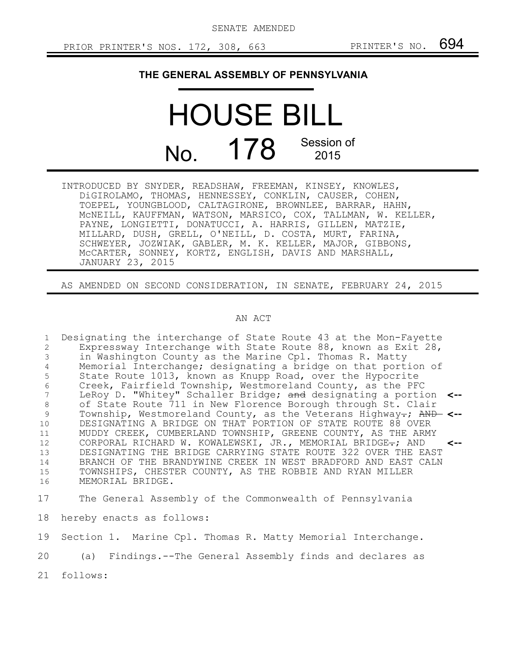SENATE AMENDED

## **THE GENERAL ASSEMBLY OF PENNSYLVANIA**

## HOUSE BILL No. 178 Session of 2015

INTRODUCED BY SNYDER, READSHAW, FREEMAN, KINSEY, KNOWLES, DiGIROLAMO, THOMAS, HENNESSEY, CONKLIN, CAUSER, COHEN, TOEPEL, YOUNGBLOOD, CALTAGIRONE, BROWNLEE, BARRAR, HAHN, McNEILL, KAUFFMAN, WATSON, MARSICO, COX, TALLMAN, W. KELLER, PAYNE, LONGIETTI, DONATUCCI, A. HARRIS, GILLEN, MATZIE, MILLARD, DUSH, GRELL, O'NEILL, D. COSTA, MURT, FARINA, SCHWEYER, JOZWIAK, GABLER, M. K. KELLER, MAJOR, GIBBONS, McCARTER, SONNEY, KORTZ, ENGLISH, DAVIS AND MARSHALL, JANUARY 23, 2015

AS AMENDED ON SECOND CONSIDERATION, IN SENATE, FEBRUARY 24, 2015

## AN ACT

Designating the interchange of State Route 43 at the Mon-Fayette Expressway Interchange with State Route 88, known as Exit 28, in Washington County as the Marine Cpl. Thomas R. Matty Memorial Interchange; designating a bridge on that portion of State Route 1013, known as Knupp Road, over the Hypocrite Creek, Fairfield Township, Westmoreland County, as the PFC LeRoy D. "Whitey" Schaller Bridge; and designating a portion **<-** of State Route 711 in New Florence Borough through St. Clair Township, Westmoreland County, as the Veterans Highway<del>.</del>; <del>AND-</del> <--DESIGNATING A BRIDGE ON THAT PORTION OF STATE ROUTE 88 OVER MUDDY CREEK, CUMBERLAND TOWNSHIP, GREENE COUNTY, AS THE ARMY CORPORAL RICHARD W. KOWALEWSKI, JR., MEMORIAL BRIDGE-; AND DESIGNATING THE BRIDGE CARRYING STATE ROUTE 322 OVER THE EAST BRANCH OF THE BRANDYWINE CREEK IN WEST BRADFORD AND EAST CALN TOWNSHIPS, CHESTER COUNTY, AS THE ROBBIE AND RYAN MILLER MEMORIAL BRIDGE. **<--** 1 2 3 4 5 6 7 8 9 10 11 12 13 14 15 16

The General Assembly of the Commonwealth of Pennsylvania 17

hereby enacts as follows: 18

Section 1. Marine Cpl. Thomas R. Matty Memorial Interchange. 19

(a) Findings.--The General Assembly finds and declares as 20

follows: 21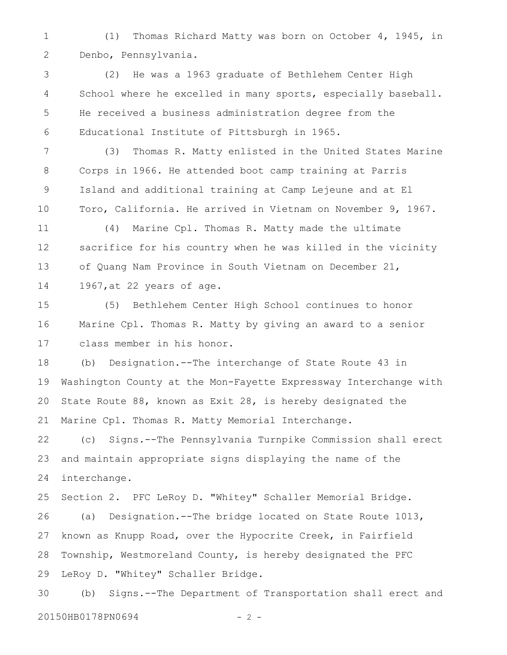(1) Thomas Richard Matty was born on October 4, 1945, in Denbo, Pennsylvania. 1 2

(2) He was a 1963 graduate of Bethlehem Center High School where he excelled in many sports, especially baseball. He received a business administration degree from the Educational Institute of Pittsburgh in 1965. 3 4 5 6

(3) Thomas R. Matty enlisted in the United States Marine Corps in 1966. He attended boot camp training at Parris Island and additional training at Camp Lejeune and at El Toro, California. He arrived in Vietnam on November 9, 1967. 7 8 9 10

(4) Marine Cpl. Thomas R. Matty made the ultimate sacrifice for his country when he was killed in the vicinity of Quang Nam Province in South Vietnam on December 21, 1967,at 22 years of age. 11 12 13 14

(5) Bethlehem Center High School continues to honor Marine Cpl. Thomas R. Matty by giving an award to a senior class member in his honor. 15 16 17

(b) Designation.--The interchange of State Route 43 in Washington County at the Mon-Fayette Expressway Interchange with State Route 88, known as Exit 28, is hereby designated the Marine Cpl. Thomas R. Matty Memorial Interchange. 18 19 20 21

(c) Signs.--The Pennsylvania Turnpike Commission shall erect and maintain appropriate signs displaying the name of the interchange. 22 23 24

Section 2. PFC LeRoy D. "Whitey" Schaller Memorial Bridge. (a) Designation.--The bridge located on State Route 1013, known as Knupp Road, over the Hypocrite Creek, in Fairfield Township, Westmoreland County, is hereby designated the PFC LeRoy D. "Whitey" Schaller Bridge. 25 26 27 28 29

(b) Signs.--The Department of Transportation shall erect and 20150HB0178PN0694 - 2 -30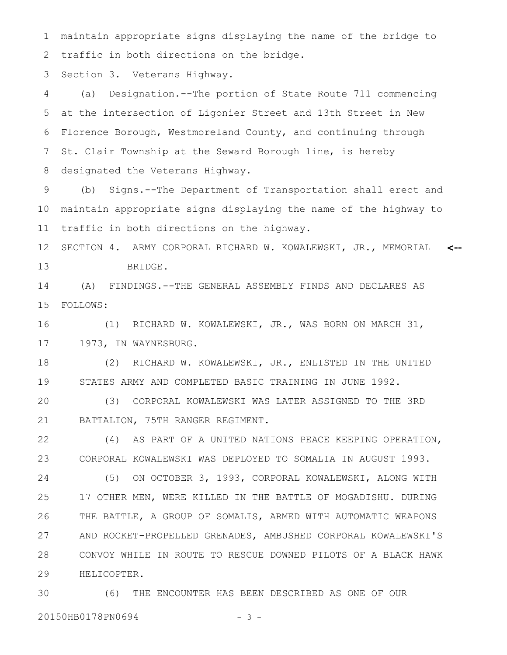maintain appropriate signs displaying the name of the bridge to traffic in both directions on the bridge. 1 2

Section 3. Veterans Highway. 3

(a) Designation.--The portion of State Route 711 commencing at the intersection of Ligonier Street and 13th Street in New Florence Borough, Westmoreland County, and continuing through St. Clair Township at the Seward Borough line, is hereby designated the Veterans Highway. 4 5 6 7 8

(b) Signs.--The Department of Transportation shall erect and maintain appropriate signs displaying the name of the highway to traffic in both directions on the highway. 9 10 11

SECTION 4. ARMY CORPORAL RICHARD W. KOWALEWSKI, JR., MEMORIAL BRIDGE. **<--** 12 13

(A) FINDINGS.--THE GENERAL ASSEMBLY FINDS AND DECLARES AS FOLLOWS: 14 15

(1) RICHARD W. KOWALEWSKI, JR., WAS BORN ON MARCH 31, 1973, IN WAYNESBURG. 16 17

(2) RICHARD W. KOWALEWSKI, JR., ENLISTED IN THE UNITED STATES ARMY AND COMPLETED BASIC TRAINING IN JUNE 1992. 18 19

(3) CORPORAL KOWALEWSKI WAS LATER ASSIGNED TO THE 3RD BATTALION, 75TH RANGER REGIMENT. 20 21

(4) AS PART OF A UNITED NATIONS PEACE KEEPING OPERATION, CORPORAL KOWALEWSKI WAS DEPLOYED TO SOMALIA IN AUGUST 1993. 22 23

(5) ON OCTOBER 3, 1993, CORPORAL KOWALEWSKI, ALONG WITH 17 OTHER MEN, WERE KILLED IN THE BATTLE OF MOGADISHU. DURING THE BATTLE, A GROUP OF SOMALIS, ARMED WITH AUTOMATIC WEAPONS AND ROCKET-PROPELLED GRENADES, AMBUSHED CORPORAL KOWALEWSKI'S CONVOY WHILE IN ROUTE TO RESCUE DOWNED PILOTS OF A BLACK HAWK HELICOPTER. 24 25 26 27 28 29

(6) THE ENCOUNTER HAS BEEN DESCRIBED AS ONE OF OUR 20150HB0178PN0694 - 3 -30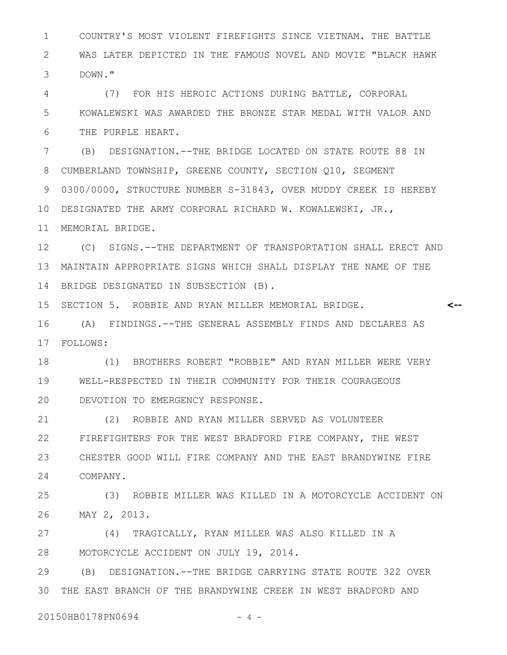COUNTRY'S MOST VIOLENT FIREFIGHTS SINCE VIETNAM. THE BATTLE WAS LATER DEPICTED IN THE FAMOUS NOVEL AND MOVIE "BLACK HAWK DOWN." 1 2 3

(7) FOR HIS HEROIC ACTIONS DURING BATTLE, CORPORAL KOWALEWSKI WAS AWARDED THE BRONZE STAR MEDAL WITH VALOR AND THE PURPLE HEART. 4 5 6

(B) DESIGNATION.--THE BRIDGE LOCATED ON STATE ROUTE 88 IN CUMBERLAND TOWNSHIP, GREENE COUNTY, SECTION Q10, SEGMENT 0300/0000, STRUCTURE NUMBER S-31843, OVER MUDDY CREEK IS HEREBY DESIGNATED THE ARMY CORPORAL RICHARD W. KOWALEWSKI, JR., 10 MEMORIAL BRIDGE. 11 7 8 9

(C) SIGNS.--THE DEPARTMENT OF TRANSPORTATION SHALL ERECT AND MAINTAIN APPROPRIATE SIGNS WHICH SHALL DISPLAY THE NAME OF THE 13 14 BRIDGE DESIGNATED IN SUBSECTION (B). 12

**<--**

15 SECTION 5. ROBBIE AND RYAN MILLER MEMORIAL BRIDGE.

(A) FINDINGS.--THE GENERAL ASSEMBLY FINDS AND DECLARES AS FOLLOWS: 17 16

(1) BROTHERS ROBERT "ROBBIE" AND RYAN MILLER WERE VERY WELL-RESPECTED IN THEIR COMMUNITY FOR THEIR COURAGEOUS DEVOTION TO EMERGENCY RESPONSE. 18 19 20

(2) ROBBIE AND RYAN MILLER SERVED AS VOLUNTEER FIREFIGHTERS FOR THE WEST BRADFORD FIRE COMPANY, THE WEST CHESTER GOOD WILL FIRE COMPANY AND THE EAST BRANDYWINE FIRE COMPANY. 24 21 22 23

(3) ROBBIE MILLER WAS KILLED IN A MOTORCYCLE ACCIDENT ON MAY 2, 2013. 25 26

(4) TRAGICALLY, RYAN MILLER WAS ALSO KILLED IN A MOTORCYCLE ACCIDENT ON JULY 19, 2014. 27 28

(B) DESIGNATION.--THE BRIDGE CARRYING STATE ROUTE 322 OVER THE EAST BRANCH OF THE BRANDYWINE CREEK IN WEST BRADFORD AND 3029